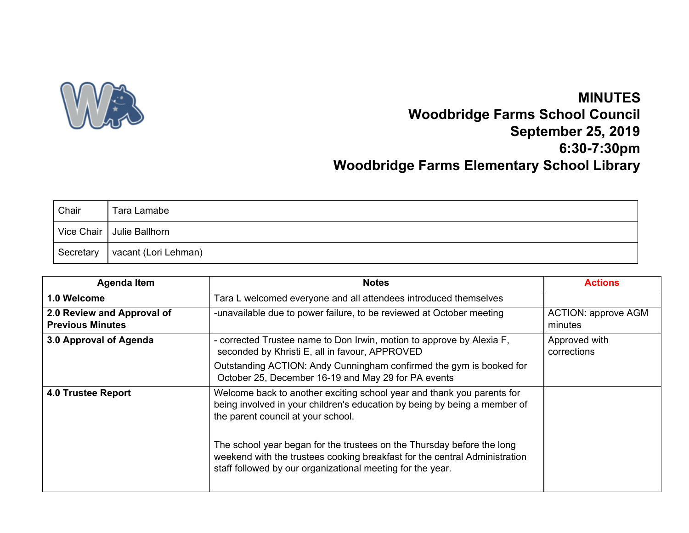

## **MINUTES Woodbridge Farms School Council September 25, 2019 6:30-7:30pm Woodbridge Farms Elementary School Library**

| Chair       | Tara Lamabe                 |
|-------------|-----------------------------|
|             | Vice Chair   Julie Ballhorn |
| ⊩ Secretary | vacant (Lori Lehman)        |

| <b>Agenda Item</b>                                    | <b>Notes</b>                                                                                                                                                                                                       | <b>Actions</b>                        |
|-------------------------------------------------------|--------------------------------------------------------------------------------------------------------------------------------------------------------------------------------------------------------------------|---------------------------------------|
| 1.0 Welcome                                           | Tara L welcomed everyone and all attendees introduced themselves                                                                                                                                                   |                                       |
| 2.0 Review and Approval of<br><b>Previous Minutes</b> | -unavailable due to power failure, to be reviewed at October meeting                                                                                                                                               | <b>ACTION: approve AGM</b><br>minutes |
| 3.0 Approval of Agenda                                | - corrected Trustee name to Don Irwin, motion to approve by Alexia F,<br>seconded by Khristi E, all in favour, APPROVED                                                                                            | Approved with<br>corrections          |
|                                                       | Outstanding ACTION: Andy Cunningham confirmed the gym is booked for<br>October 25, December 16-19 and May 29 for PA events                                                                                         |                                       |
| <b>4.0 Trustee Report</b>                             | Welcome back to another exciting school year and thank you parents for<br>being involved in your children's education by being by being a member of<br>the parent council at your school.                          |                                       |
|                                                       | The school year began for the trustees on the Thursday before the long<br>weekend with the trustees cooking breakfast for the central Administration<br>staff followed by our organizational meeting for the year. |                                       |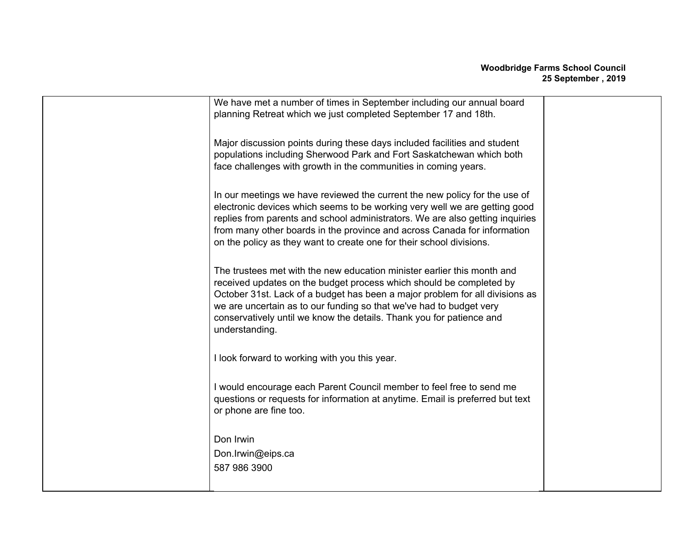| We have met a number of times in September including our annual board<br>planning Retreat which we just completed September 17 and 18th.                                                                                                                                                                                                                                                        |  |
|-------------------------------------------------------------------------------------------------------------------------------------------------------------------------------------------------------------------------------------------------------------------------------------------------------------------------------------------------------------------------------------------------|--|
| Major discussion points during these days included facilities and student<br>populations including Sherwood Park and Fort Saskatchewan which both<br>face challenges with growth in the communities in coming years.                                                                                                                                                                            |  |
| In our meetings we have reviewed the current the new policy for the use of<br>electronic devices which seems to be working very well we are getting good<br>replies from parents and school administrators. We are also getting inquiries<br>from many other boards in the province and across Canada for information<br>on the policy as they want to create one for their school divisions.   |  |
| The trustees met with the new education minister earlier this month and<br>received updates on the budget process which should be completed by<br>October 31st. Lack of a budget has been a major problem for all divisions as<br>we are uncertain as to our funding so that we've had to budget very<br>conservatively until we know the details. Thank you for patience and<br>understanding. |  |
| I look forward to working with you this year.                                                                                                                                                                                                                                                                                                                                                   |  |
| I would encourage each Parent Council member to feel free to send me<br>questions or requests for information at anytime. Email is preferred but text<br>or phone are fine too.                                                                                                                                                                                                                 |  |
| Don Irwin<br>Don.Irwin@eips.ca<br>587 986 3900                                                                                                                                                                                                                                                                                                                                                  |  |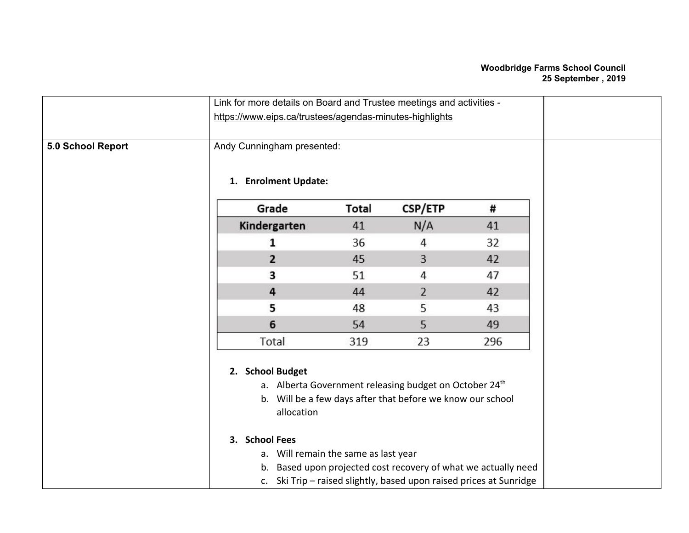## **Woodbridge Farms School Council 25 September , 2019**

|                   | Link for more details on Board and Trustee meetings and activities -                     |              |                                                                                                                                                                                                                                                               |     |
|-------------------|------------------------------------------------------------------------------------------|--------------|---------------------------------------------------------------------------------------------------------------------------------------------------------------------------------------------------------------------------------------------------------------|-----|
|                   | https://www.eips.ca/trustees/agendas-minutes-highlights                                  |              |                                                                                                                                                                                                                                                               |     |
| 5.0 School Report | Andy Cunningham presented:<br>1. Enrolment Update:                                       |              |                                                                                                                                                                                                                                                               |     |
|                   | Grade                                                                                    | <b>Total</b> | <b>CSP/ETP</b>                                                                                                                                                                                                                                                | #   |
|                   | Kindergarten                                                                             | 41           | N/A                                                                                                                                                                                                                                                           | 41  |
|                   | 1                                                                                        | 36           | 4                                                                                                                                                                                                                                                             | 32  |
|                   | 2                                                                                        | 45           | 3                                                                                                                                                                                                                                                             | 42  |
|                   | 3                                                                                        | 51           | 4                                                                                                                                                                                                                                                             | 47  |
|                   | 4                                                                                        | 44           | $\overline{2}$                                                                                                                                                                                                                                                | 42  |
|                   | 5                                                                                        | 48           | 5                                                                                                                                                                                                                                                             | 43  |
|                   | 6                                                                                        | 54           | 5                                                                                                                                                                                                                                                             | 49  |
|                   | Total                                                                                    | 319          | 23                                                                                                                                                                                                                                                            | 296 |
|                   | 2. School Budget<br>allocation<br>3. School Fees<br>a. Will remain the same as last year |              | a. Alberta Government releasing budget on October 24th<br>b. Will be a few days after that before we know our school<br>b. Based upon projected cost recovery of what we actually need<br>c. Ski Trip - raised slightly, based upon raised prices at Sunridge |     |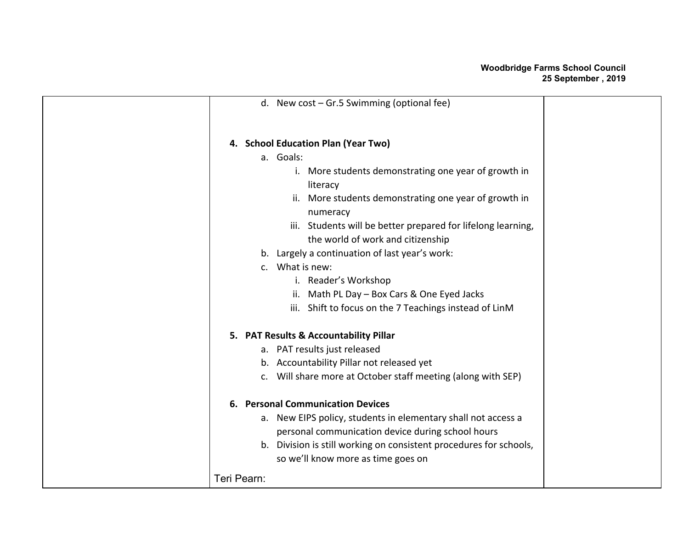|             | d. New cost $-$ Gr.5 Swimming (optional fee)                       |  |
|-------------|--------------------------------------------------------------------|--|
|             | 4. School Education Plan (Year Two)                                |  |
|             | a. Goals:                                                          |  |
|             | i. More students demonstrating one year of growth in               |  |
|             | literacy                                                           |  |
|             | ii. More students demonstrating one year of growth in<br>numeracy  |  |
|             | iii. Students will be better prepared for lifelong learning,       |  |
|             | the world of work and citizenship                                  |  |
|             | b. Largely a continuation of last year's work:                     |  |
|             | c. What is new:                                                    |  |
|             | i. Reader's Workshop                                               |  |
|             | ii. Math PL Day - Box Cars & One Eyed Jacks                        |  |
|             | iii. Shift to focus on the 7 Teachings instead of LinM             |  |
|             | 5. PAT Results & Accountability Pillar                             |  |
|             | a. PAT results just released                                       |  |
|             | b. Accountability Pillar not released yet                          |  |
|             | c. Will share more at October staff meeting (along with SEP)       |  |
|             | 6. Personal Communication Devices                                  |  |
|             | a. New EIPS policy, students in elementary shall not access a      |  |
|             | personal communication device during school hours                  |  |
|             | b. Division is still working on consistent procedures for schools, |  |
|             | so we'll know more as time goes on                                 |  |
| Teri Pearn: |                                                                    |  |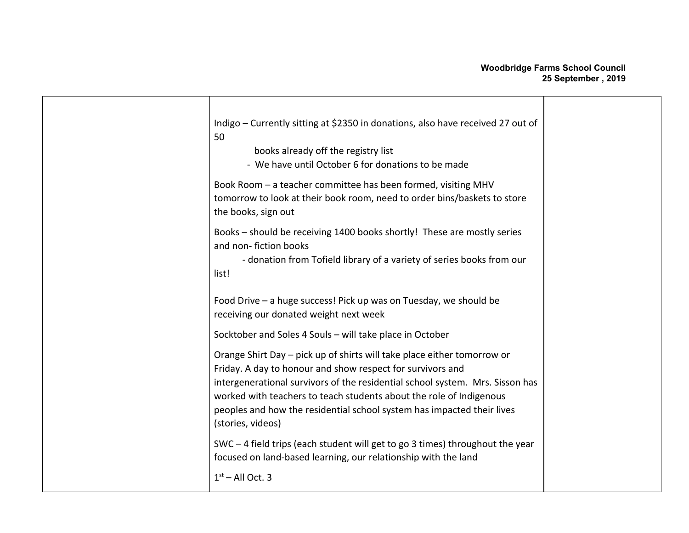## **Woodbridge Farms School Council 25 September , 2019**

| Indigo - Currently sitting at \$2350 in donations, also have received 27 out of<br>50<br>books already off the registry list<br>- We have until October 6 for donations to be made                                                                                                                                                                                                                                                                       |  |
|----------------------------------------------------------------------------------------------------------------------------------------------------------------------------------------------------------------------------------------------------------------------------------------------------------------------------------------------------------------------------------------------------------------------------------------------------------|--|
| Book Room - a teacher committee has been formed, visiting MHV<br>tomorrow to look at their book room, need to order bins/baskets to store<br>the books, sign out                                                                                                                                                                                                                                                                                         |  |
| Books - should be receiving 1400 books shortly! These are mostly series<br>and non-fiction books<br>- donation from Tofield library of a variety of series books from our<br>list!                                                                                                                                                                                                                                                                       |  |
| Food Drive - a huge success! Pick up was on Tuesday, we should be<br>receiving our donated weight next week                                                                                                                                                                                                                                                                                                                                              |  |
| Socktober and Soles 4 Souls - will take place in October<br>Orange Shirt Day - pick up of shirts will take place either tomorrow or<br>Friday. A day to honour and show respect for survivors and<br>intergenerational survivors of the residential school system. Mrs. Sisson has<br>worked with teachers to teach students about the role of Indigenous<br>peoples and how the residential school system has impacted their lives<br>(stories, videos) |  |
| SWC-4 field trips (each student will get to go 3 times) throughout the year<br>focused on land-based learning, our relationship with the land<br>$1st$ – All Oct. 3                                                                                                                                                                                                                                                                                      |  |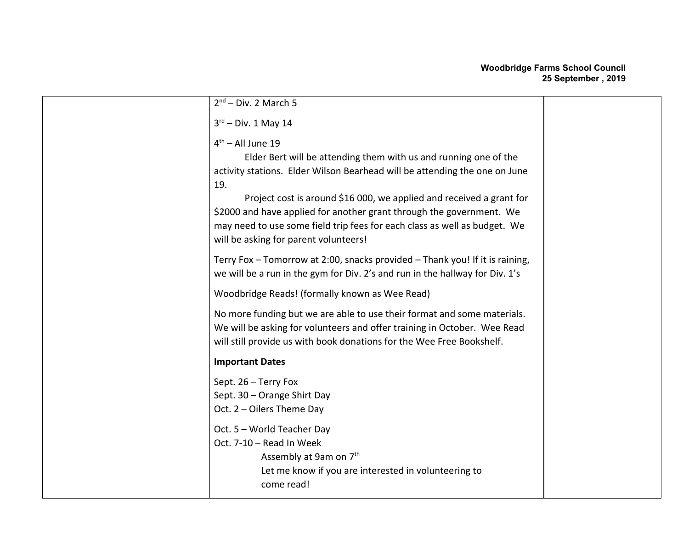| $2nd$ – Div. 2 March 5                                                                                                                                                                                                                                                                                                                                                                                                                             |  |
|----------------------------------------------------------------------------------------------------------------------------------------------------------------------------------------------------------------------------------------------------------------------------------------------------------------------------------------------------------------------------------------------------------------------------------------------------|--|
| $3rd$ – Div. 1 May 14                                                                                                                                                                                                                                                                                                                                                                                                                              |  |
| $4th$ – All June 19<br>Elder Bert will be attending them with us and running one of the<br>activity stations. Elder Wilson Bearhead will be attending the one on June<br>19.<br>Project cost is around \$16 000, we applied and received a grant for<br>\$2000 and have applied for another grant through the government. We<br>may need to use some field trip fees for each class as well as budget. We<br>will be asking for parent volunteers! |  |
| Terry Fox - Tomorrow at 2:00, snacks provided - Thank you! If it is raining,<br>we will be a run in the gym for Div. 2's and run in the hallway for Div. 1's                                                                                                                                                                                                                                                                                       |  |
| Woodbridge Reads! (formally known as Wee Read)                                                                                                                                                                                                                                                                                                                                                                                                     |  |
| No more funding but we are able to use their format and some materials.<br>We will be asking for volunteers and offer training in October. Wee Read<br>will still provide us with book donations for the Wee Free Bookshelf.                                                                                                                                                                                                                       |  |
| <b>Important Dates</b>                                                                                                                                                                                                                                                                                                                                                                                                                             |  |
| Sept. 26 - Terry Fox<br>Sept. 30 - Orange Shirt Day<br>Oct. 2 - Oilers Theme Day                                                                                                                                                                                                                                                                                                                                                                   |  |
| Oct. 5 - World Teacher Day<br>Oct. 7-10 - Read In Week<br>Assembly at 9am on 7 <sup>th</sup><br>Let me know if you are interested in volunteering to<br>come read!                                                                                                                                                                                                                                                                                 |  |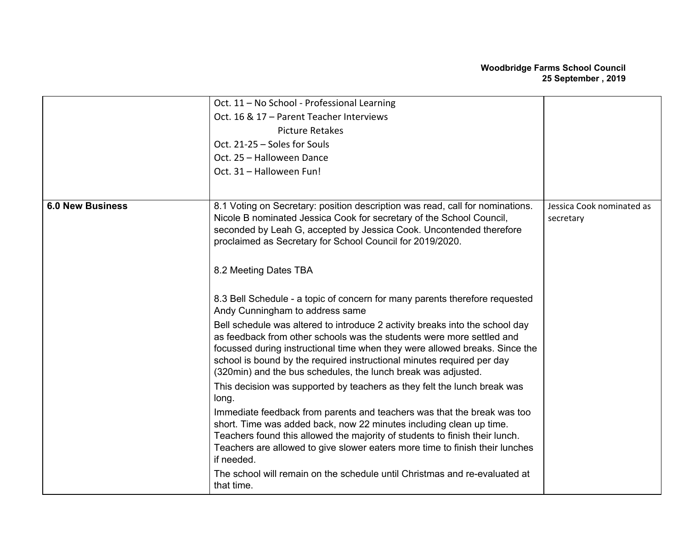## **Woodbridge Farms School Council 25 September , 2019**

|                         | Oct. 11 - No School - Professional Learning                                                                                             |                           |
|-------------------------|-----------------------------------------------------------------------------------------------------------------------------------------|---------------------------|
|                         | Oct. 16 & 17 - Parent Teacher Interviews                                                                                                |                           |
|                         | <b>Picture Retakes</b>                                                                                                                  |                           |
|                         | Oct. 21-25 - Soles for Souls                                                                                                            |                           |
|                         | Oct. 25 - Halloween Dance                                                                                                               |                           |
|                         |                                                                                                                                         |                           |
|                         | Oct. 31 - Halloween Fun!                                                                                                                |                           |
|                         |                                                                                                                                         |                           |
| <b>6.0 New Business</b> | 8.1 Voting on Secretary: position description was read, call for nominations.                                                           | Jessica Cook nominated as |
|                         | Nicole B nominated Jessica Cook for secretary of the School Council,                                                                    | secretary                 |
|                         | seconded by Leah G, accepted by Jessica Cook. Uncontended therefore                                                                     |                           |
|                         | proclaimed as Secretary for School Council for 2019/2020.                                                                               |                           |
|                         |                                                                                                                                         |                           |
|                         | 8.2 Meeting Dates TBA                                                                                                                   |                           |
|                         |                                                                                                                                         |                           |
|                         | 8.3 Bell Schedule - a topic of concern for many parents therefore requested                                                             |                           |
|                         | Andy Cunningham to address same                                                                                                         |                           |
|                         | Bell schedule was altered to introduce 2 activity breaks into the school day                                                            |                           |
|                         | as feedback from other schools was the students were more settled and                                                                   |                           |
|                         | focussed during instructional time when they were allowed breaks. Since the                                                             |                           |
|                         | school is bound by the required instructional minutes required per day<br>(320min) and the bus schedules, the lunch break was adjusted. |                           |
|                         | This decision was supported by teachers as they felt the lunch break was                                                                |                           |
|                         | long.                                                                                                                                   |                           |
|                         | Immediate feedback from parents and teachers was that the break was too                                                                 |                           |
|                         | short. Time was added back, now 22 minutes including clean up time.                                                                     |                           |
|                         | Teachers found this allowed the majority of students to finish their lunch.                                                             |                           |
|                         | Teachers are allowed to give slower eaters more time to finish their lunches                                                            |                           |
|                         | if needed.                                                                                                                              |                           |
|                         | The school will remain on the schedule until Christmas and re-evaluated at                                                              |                           |
|                         | that time.                                                                                                                              |                           |